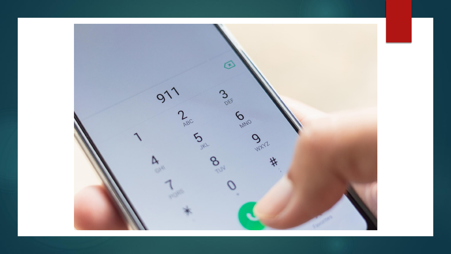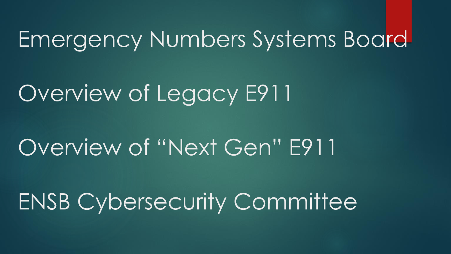## Emergency Numbers Systems Board

# Overview of Legacy E911

# Overview of "Next Gen" E911

ENSB Cybersecurity Committee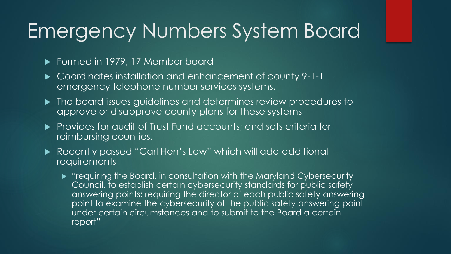## Emergency Numbers System Board

#### Formed in 1979, 17 Member board

- Coordinates installation and enhancement of county 9-1-1 emergency telephone number services systems.
- $\blacktriangleright$  The board issues guidelines and determines review procedures to approve or disapprove county plans for these systems
- **Provides for audit of Trust Fund accounts; and sets criteria for** reimbursing counties.
- Recently passed "Carl Hen's Law" which will add additional **requirements** 
	- **"requiring the Board, in consultation with the Maryland Cybersecurity** Council, to establish certain cybersecurity standards for public safety answering points; requiring the director of each public safety answering point to examine the cybersecurity of the public safety answering point under certain circumstances and to submit to the Board a certain report"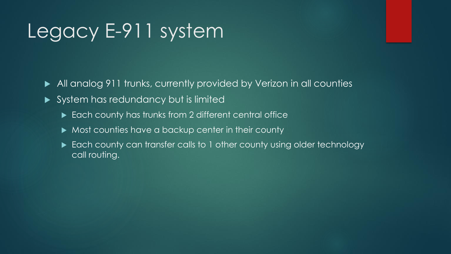## Legacy E-911 system

- All analog 911 trunks, currently provided by Verizon in all counties
- System has redundancy but is limited
	- ► Each county has trunks from 2 different central office
	- Most counties have a backup center in their county
	- Each county can transfer calls to 1 other county using older technology call routing.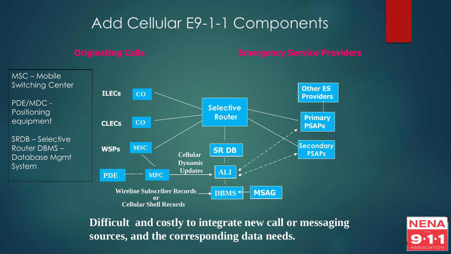#### Add Cellular E9-1-1 Components



**Difficult and costly to integrate new call or messaging sources, and the corresponding data needs.**

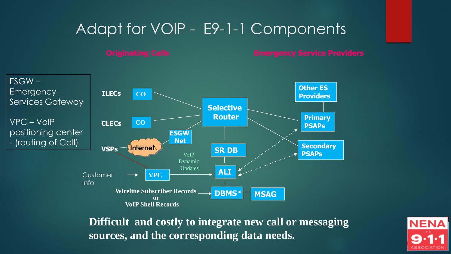#### Adapt for VOIP - E9-1-1 Components



**Difficult and costly to integrate new call or messaging sources, and the corresponding data needs.**

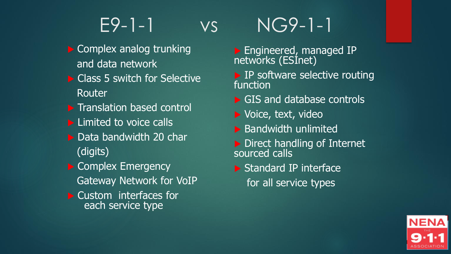## E9-1-1 vs NG9-1-1

- Complex analog trunking and data network
- Class 5 switch for Selective Router
- **Translation based control**
- $\blacktriangleright$  Limited to voice calls
- ▶ Data bandwidth 20 char (digits)
- Complex Emergency Gateway Network for VoIP
- Custom interfaces for each service type

- **Engineered, managed IP** networks (ESInet)
- **IP software selective routing** function
- GIS and database controls
- ▶ Voice, text, video
- $\blacktriangleright$  Bandwidth unlimited
- ▶ Direct handling of Internet sourced calls
- Standard IP interface for all service types

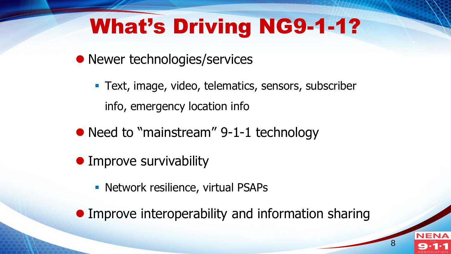# What's Driving NG9-1-1?

- Newer technologies/services
	- **Text, image, video, telematics, sensors, subscriber** info, emergency location info
- Need to "mainstream" 9-1-1 technology
- ⚫ Improve survivability
	- Network resilience, virtual PSAPs
- ⚫ Improve interoperability and information sharing

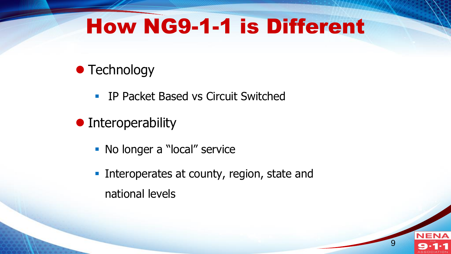## How NG9-1-1 is Different

### ● Technology

- **IP Packet Based vs Circuit Switched**
- ⚫ Interoperability
	- No longer a "local" service
	- **.** Interoperates at county, region, state and national levels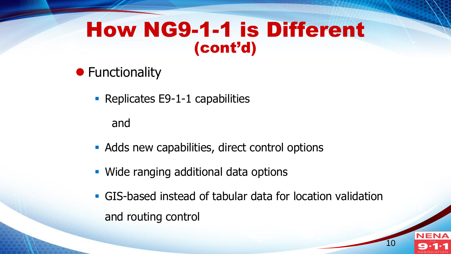## How NG9-1-1 is Different (cont'd)

#### ● Functionality

■ Replicates E9-1-1 capabilities

and

- Adds new capabilities, direct control options
- Wide ranging additional data options
- GIS-based instead of tabular data for location validation and routing control

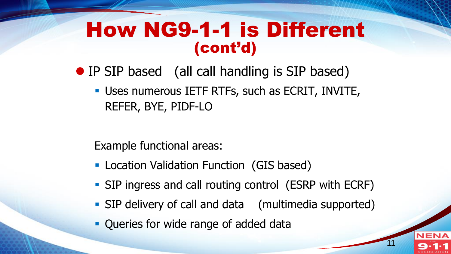### How NG9-1-1 is Different (cont'd)

⚫ IP SIP based (all call handling is SIP based) **E** Uses numerous IETF RTFs, such as ECRIT, INVITE, REFER, BYE, PIDF-LO

Example functional areas:

- **Example 2** Location Validation Function (GIS based)
- SIP ingress and call routing control (ESRP with ECRF)
- SIP delivery of call and data (multimedia supported)

11

**• Queries for wide range of added data**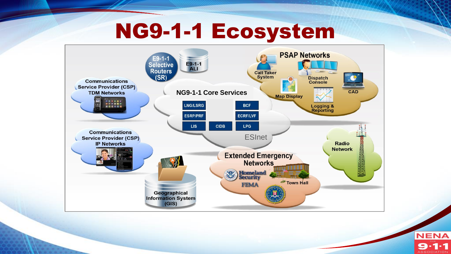## NG9-1-1 Ecosystem



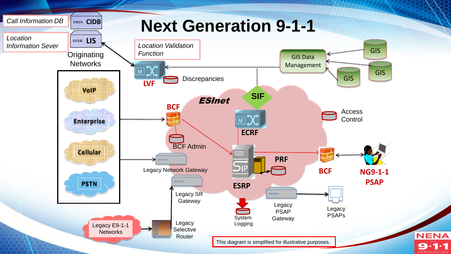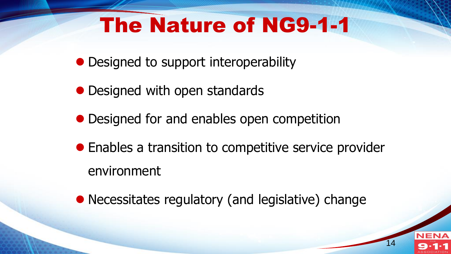## The Nature of NG9-1-1

- Designed to support interoperability
- Designed with open standards
- Designed for and enables open competition
- ⚫ Enables a transition to competitive service provider environment
- ⚫ Necessitates regulatory (and legislative) change

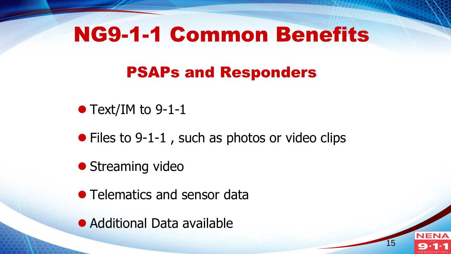# NG9-1-1 Common Benefits

### PSAPs and Responders

- Text/IM to 9-1-1
- Files to 9-1-1, such as photos or video clips
- Streaming video
- Telematics and sensor data
- ⚫ Additional Data available

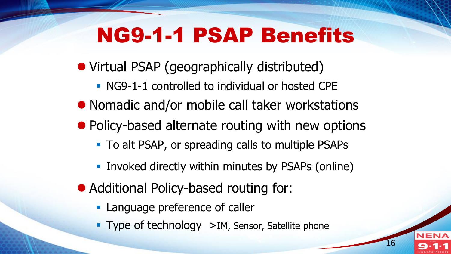## NG9-1-1 PSAP Benefits

- ⚫ Virtual PSAP (geographically distributed)
	- NG9-1-1 controlled to individual or hosted CPE
- Nomadic and/or mobile call taker workstations
- Policy-based alternate routing with new options
	- To alt PSAP, or spreading calls to multiple PSAPs
	- **Invoked directly within minutes by PSAPs (online)**

- Additional Policy-based routing for:
	- **Example 2** Language preference of caller
	- **Type of technology >IM, Sensor, Satellite phone**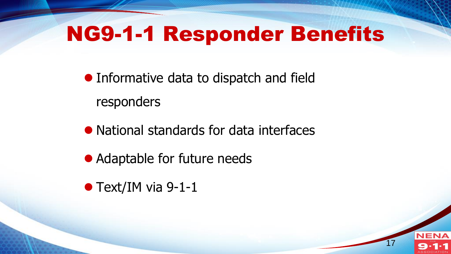## NG9-1-1 Responder Benefits

17

⚫ Informative data to dispatch and field responders

⚫ National standards for data interfaces

● Adaptable for future needs

● Text/IM via 9-1-1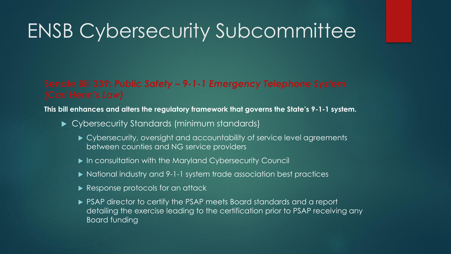## ENSB Cybersecurity Subcommittee

**Senate Bill 339:** *Public Safety – 9-1-1 Emergency Telephone System* 

**This bill enhances and alters the regulatory framework that governs the State's 9-1-1 system.** 

- ▶ Cybersecurity Standards (minimum standards)
	- ▶ Cybersecurity, oversight and accountability of service level agreements between counties and NG service providers
	- ▶ In consultation with the Maryland Cybersecurity Council
	- ▶ National industry and 9-1-1 system trade association best practices
	- Response protocols for an attack
	- ▶ PSAP director to certify the PSAP meets Board standards and a report detailing the exercise leading to the certification prior to PSAP receiving any Board funding